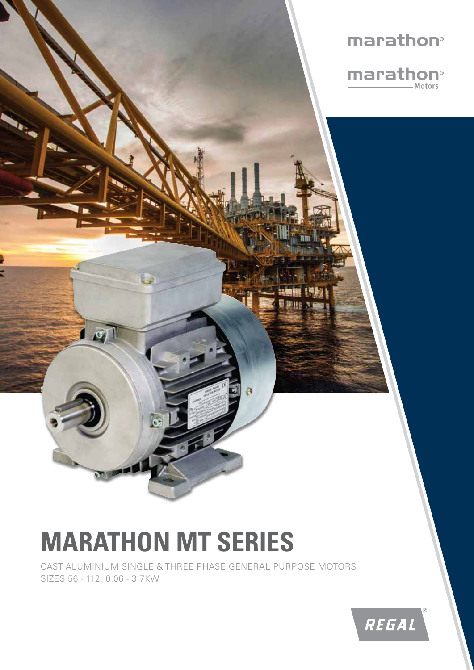

# **MARATHON MT SERIES**

CAST ALUMINIUM SINGLE & THREE PHASE GENERAL PURPOSE MOTORS SIZES 56 - 112, 0.06 - 3.7KW

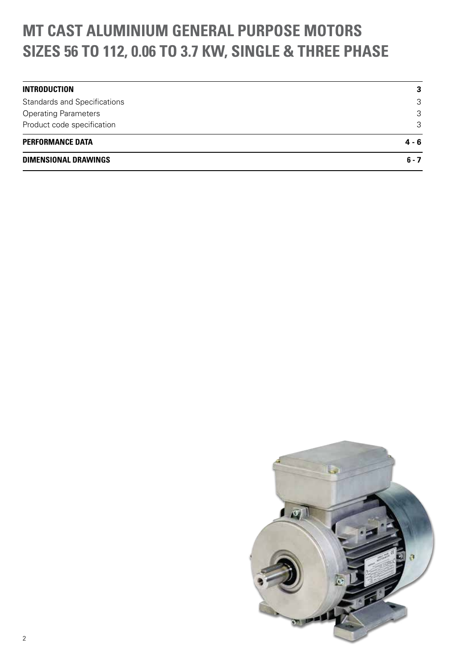## **MT CAST ALUMINIUM GENERAL PURPOSE MOTORS SIZES 56 TO 112, 0.06 TO 3.7 KW, SINGLE & THREE PHASE**

| <b>DIMENSIONAL DRAWINGS</b>         | $6 - 7$ |
|-------------------------------------|---------|
| <b>PERFORMANCE DATA</b>             | $4 - 6$ |
| Product code specification          | 3       |
| <b>Operating Parameters</b>         | 3       |
| <b>Standards and Specifications</b> | 3       |
| <b>INTRODUCTION</b>                 | 3       |

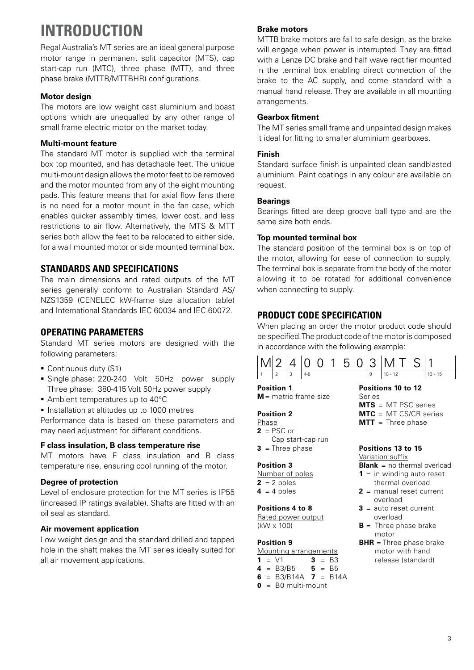## **INTRODUCTION**

Regal Australia's MT series are an ideal general purpose motor range in permanent split capacitor (MTS), cap start-cap run (MTC), three phase (MTT), and three phase brake (MTTB/MTTBHR) configurations.

#### **Motor design**

The motors are low weight cast aluminium and boast options which are unequalled by any other range of small frame electric motor on the market today.

#### **Multi-mount feature**

The standard MT motor is supplied with the terminal box top mounted, and has detachable feet. The unique multi-mount design allows the motor feet to be removed and the motor mounted from any of the eight mounting pads. This feature means that for axial flow fans there is no need for a motor mount in the fan case, which enables quicker assembly times, lower cost, and less restrictions to air flow. Alternatively, the MTS & MTT series both allow the feet to be relocated to either side, for a wall mounted motor or side mounted terminal box.

### **STANDARDS AND SPECIFICATIONS**

The main dimensions and rated outputs of the MT series generally conform to Australian Standard AS/ NZS1359 (CENELEC kW-frame size allocation table) and International Standards IEC 60034 and IEC 60072.

### **OPERATING PARAMETERS**

Standard MT series motors are designed with the following parameters:

- Continuous duty (S1)
- Single phase: 220-240 Volt 50Hz power supply Three phase: 380-415 Volt 50Hz power supply
- Ambient temperatures up to 40°C
- **Installation at altitudes up to 1000 metres**

Performance data is based on these parameters and may need adjustment for different conditions.

### **F class insulation, B class temperature rise**

MT motors have F class insulation and B class temperature rise, ensuring cool running of the motor.

### **Degree of protection**

Level of enclosure protection for the MT series is IP55 (increased IP ratings available). Shafts are fitted with an oil seal as standard.

### **Air movement application**

Low weight design and the standard drilled and tapped hole in the shaft makes the MT series ideally suited for all air movement applications.

### **Brake motors**

MTTB brake motors are fail to safe design, as the brake will engage when power is interrupted. They are fitted with a Lenze DC brake and half wave rectifier mounted in the terminal box enabling direct connection of the brake to the AC supply, and come standard with a manual hand release. They are available in all mounting arrangements.

#### **Gearbox fitment**

The MT series small frame and unpainted design makes it ideal for fitting to smaller aluminium gearboxes.

#### **Finish**

Standard surface finish is unpainted clean sandblasted aluminium. Paint coatings in any colour are available on request.

#### **Bearings**

Bearings fitted are deep groove ball type and are the same size both ends.

### **Top mounted terminal box**

The standard position of the terminal box is on top of the motor, allowing for ease of connection to supply. The terminal box is separate from the body of the motor allowing it to be rotated for additional convenience when connecting to supply.

### **PRODUCT CODE SPECIFICATION**

When placing an order the motor product code should be specified. The product code of the motor is composed in accordance with the following example:

|  |  |  |  |  | M 2 4 00150 3 MTS 1 |         |
|--|--|--|--|--|---------------------|---------|
|  |  |  |  |  | $10 - 12$           | 13 - 15 |

Series

**Position 1 M** = metric frame size

#### **Position 2**

- Phase
- $2 = PSC$  or Cap start-cap run
- **3** = Three phase

#### **Position 3**

- Number of poles  $2 = 2$  poles  $4 = 4$  poles
- 

#### **Positions 4 to 8**

Rated power output (kW x 100)

#### **Position 9**

Mounting arrangements **1** =  $\sqrt{1}$  **3** = B3

- **4** = B3/B5 **5** = B5
- **6** = B3/B14A **7** = B14A
- $\theta = B0$  multi-mount

#### **MTS** = MT PSC series **MTC** = MT CS/CR series

**Positions 10 to 12**

**MTT** = Three phase

### **Positions 13 to 15**

#### Variation suffix

- **Blank** = no thermal overload
- **1** = in winding auto reset thermal overload
	- **2** = manual reset current overload
	- **3** = auto reset current overload
	- $B =$ Three phase brake motor
	- **BHR** = Three phase brake motor with hand release (standard)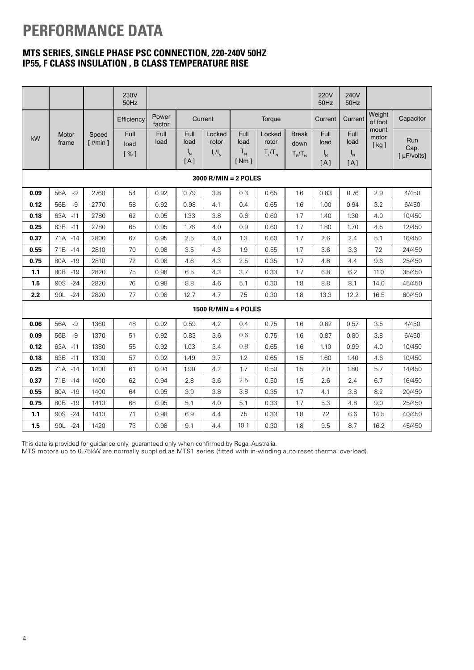## **PERFORMANCE DATA**

### **MTS SERIES, SINGLE PHASE PSC CONNECTION, 220-240V 50HZ IP55, F CLASS INSULATION , B CLASS TEMPERATURE RISE**

|                        |                |                                | 230V<br>50Hz               |                 |                                                  |                                  |                                   |                                | <b>220V</b><br>50Hz               | 240V<br>50Hz                                     |                                |                        |                            |
|------------------------|----------------|--------------------------------|----------------------------|-----------------|--------------------------------------------------|----------------------------------|-----------------------------------|--------------------------------|-----------------------------------|--------------------------------------------------|--------------------------------|------------------------|----------------------------|
|                        |                |                                | Efficiency                 | Power<br>factor |                                                  | Current                          |                                   | Torque                         |                                   | Current                                          | Current                        | Weight<br>of foot      | Capacitor                  |
| kW                     | Motor<br>frame | Speed<br>$\lceil r/min \rceil$ | <b>Full</b><br>load<br>[%] | Full<br>load    | Full<br>load<br>$\mathsf{I}_{\mathsf{N}}$<br>[A] | Locked<br>rotor<br>$I_{L}/I_{N}$ | Full<br>load<br>$T_{N}$<br>[ Nm ] | Locked<br>rotor<br>$T_1/T_{N}$ | <b>Break</b><br>down<br>$T_B/T_N$ | Full<br>load<br>$\mathsf{I}_{\mathsf{N}}$<br>[A] | Full<br>load<br>$I_{N}$<br>[A] | mount<br>motor<br>[kg] | Run<br>Cap.<br>[ µF/volts] |
| $3000$ R/MIN = 2 POLES |                |                                |                            |                 |                                                  |                                  |                                   |                                |                                   |                                                  |                                |                        |                            |
| 0.09                   | 56A<br>$-9$    | 2760                           | 54                         | 0.92            | 0.79                                             | 3.8                              | 0.3                               | 0.65                           | 1.6                               | 0.83                                             | 0.76                           | 2.9                    | 4/450                      |
| 0.12                   | $-9$<br>56B    | 2770                           | 58                         | 0.92            | 0.98                                             | 4.1                              | 0.4                               | 0.65                           | 1.6                               | 1.00                                             | 0.94                           | 3.2                    | 6/450                      |
| 0.18                   | 63A<br>$-11$   | 2780                           | 62                         | 0.95            | 1.33                                             | 3.8                              | 0.6                               | 0.60                           | 1.7                               | 1.40                                             | 1.30                           | 4.0                    | 10/450                     |
| 0.25                   | 63B<br>$-11$   | 2780                           | 65                         | 0.95            | 1.76                                             | 4.0                              | 0.9                               | 0.60                           | 1.7                               | 1.80                                             | 1.70                           | 4.5                    | 12/450                     |
| 0.37                   | 71A - 14       | 2800                           | 67                         | 0.95            | 2.5                                              | 4.0                              | 1.3                               | 0.60                           | 1.7                               | 2.6                                              | 2.4                            | 5.1                    | 16/450                     |
| 0.55                   | 71B<br>$-14$   | 2810                           | 70                         | 0.98            | 3.5                                              | 4.3                              | 1.9                               | 0.55                           | 1.7                               | 3.6                                              | 3.3                            | 7.2                    | 24/450                     |
| 0.75                   | 80A - 19       | 2810                           | 72                         | 0.98            | 4.6                                              | 4.3                              | 2.5                               | 0.35                           | 1.7                               | 4.8                                              | 4.4                            | 9.6                    | 25/450                     |
| 1.1                    | 80B<br>$-19$   | 2820                           | 75                         | 0.98            | 6.5                                              | 4.3                              | 3.7                               | 0.33                           | 1.7                               | 6.8                                              | 6.2                            | 11.0                   | 35/450                     |
| 1.5                    | 90S<br>$-24$   | 2820                           | 76                         | 0.98            | 8.8                                              | 4.6                              | 5.1                               | 0.30                           | 1.8                               | 8.8                                              | 8.1                            | 14.0                   | 45/450                     |
| 2.2                    | 90L<br>$-24$   | 2820                           | 77                         | 0.98            | 12.7                                             | 4.7                              | 7.5                               | 0.30                           | 1.8                               | 13.3                                             | 12.2                           | 16.5                   | 60/450                     |
|                        |                |                                |                            |                 |                                                  | 1500 $R/MIN = 4$ POLES           |                                   |                                |                                   |                                                  |                                |                        |                            |
| 0.06                   | 56A<br>$-9$    | 1360                           | 48                         | 0.92            | 0.59                                             | 4.2                              | 0.4                               | 0.75                           | 1.6                               | 0.62                                             | 0.57                           | 3.5                    | 4/450                      |
| 0.09                   | 56B<br>$-9$    | 1370                           | 51                         | 0.92            | 0.83                                             | 3.6                              | 0.6                               | 0.75                           | 1.6                               | 0.87                                             | 0.80                           | 3.8                    | 6/450                      |
| 0.12                   | 63A<br>$-11$   | 1380                           | 55                         | 0.92            | 1.03                                             | 3.4                              | 0.8                               | 0.65                           | 1.6                               | 1.10                                             | 0.99                           | 4.0                    | 10/450                     |
| 0.18                   | 63B<br>$-11$   | 1390                           | 57                         | 0.92            | 1.49                                             | 3.7                              | 1.2                               | 0.65                           | 1.5                               | 1.60                                             | 1.40                           | 4.6                    | 10/450                     |
| 0.25                   | 71A - 14       | 1400                           | 61                         | 0.94            | 1.90                                             | 4.2                              | 1.7                               | 0.50                           | 1.5                               | 2.0                                              | 1.80                           | 5.7                    | 14/450                     |
| 0.37                   | 71B - 14       | 1400                           | 62                         | 0.94            | 2.8                                              | 3.6                              | 2.5                               | 0.50                           | 1.5                               | 2.6                                              | 2.4                            | 6.7                    | 16/450                     |
| 0.55                   | 80A -19        | 1400                           | 64                         | 0.95            | 3.9                                              | 3.8                              | 3.8                               | 0.35                           | 1.7                               | 4.1                                              | 3.8                            | 8.2                    | 20/450                     |
| 0.75                   | 80B<br>$-19$   | 1410                           | 68                         | 0.95            | 5.1                                              | 4.0                              | 5.1                               | 0.33                           | 1.7                               | 5.3                                              | 4.8                            | 9.0                    | 25/450                     |
| 1.1                    | 90S<br>$-24$   | 1410                           | 71                         | 0.98            | 6.9                                              | 4.4                              | 7.5                               | 0.33                           | 1.8                               | 7.2                                              | 6.6                            | 14.5                   | 40/450                     |
| 1.5                    | 90L<br>$-24$   | 1420                           | 73                         | 0.98            | 9.1                                              | 4.4                              | 10.1                              | 0.30                           | 1.8                               | 9.5                                              | 8.7                            | 16.2                   | 45/450                     |

This data is provided for guidance only, guaranteed only when confirmed by Regal Australia.

MTS motors up to 0.75kW are normally supplied as MTS1 series (fitted with in-winding auto reset thermal overload).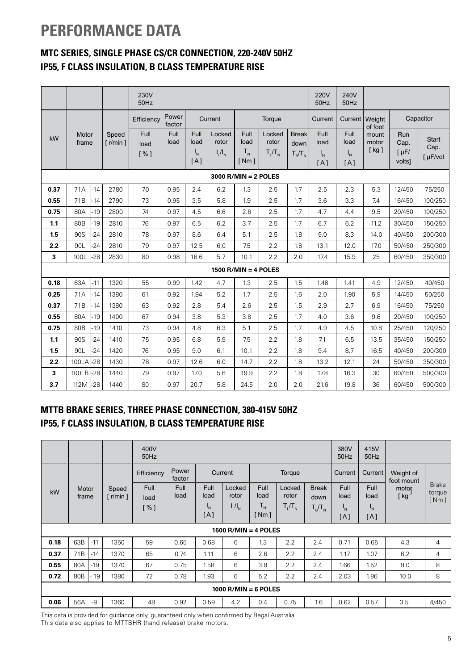## **PERFORMANCE DATA**

## **MTC SERIES, SINGLE PHASE CS/CR CONNECTION, 220-240V 50HZ IP55, F CLASS INSULATION, B CLASS TEMPERATURE RISE**

|                        |                 |       |                                | 230V<br>$50$ Hz     |                 |                                |                                  |                                               |                              |                                   | <b>220V</b><br>50Hz                              | 240V<br>50Hz                                         |                        |                                                  |                                  |
|------------------------|-----------------|-------|--------------------------------|---------------------|-----------------|--------------------------------|----------------------------------|-----------------------------------------------|------------------------------|-----------------------------------|--------------------------------------------------|------------------------------------------------------|------------------------|--------------------------------------------------|----------------------------------|
|                        |                 |       |                                | Efficiency          | Power<br>factor |                                | Current                          |                                               | Torque                       |                                   | Current                                          | Current                                              | Weight<br>of foot      |                                                  | Capacitor                        |
| kW                     | Motor<br>frame  |       | Speed<br>$\lceil r/min \rceil$ | Full<br>load<br>[%] | Full<br>load    | Full<br>load<br>$I_{N}$<br>[A] | Locked<br>rotor<br>$I_{L}/I_{N}$ | Full<br>load<br>$T_{N}$<br>$\lceil Nm \rceil$ | Locked<br>rotor<br>$T_1/T_N$ | <b>Break</b><br>down<br>$T_B/T_N$ | Full<br>load<br>$\mathsf{I}_{\mathsf{N}}$<br>[A] | Full<br>load<br>$I_{\scriptscriptstyle\rm N}$<br>[A] | mount<br>motor<br>[kg] | Run<br>Cap.<br>$\lceil \mu F / \rceil$<br>volts] | <b>Start</b><br>Cap.<br>[ µF/vol |
| $3000$ R/MIN = 2 POLES |                 |       |                                |                     |                 |                                |                                  |                                               |                              |                                   |                                                  |                                                      |                        |                                                  |                                  |
| 0.37                   | 71A             | $-14$ | 2780                           | 70                  | 0.95            | 2.4                            | 6.2                              | 1.3                                           | 2.5                          | 1.7                               | 2.5                                              | 2.3                                                  | 5.3                    | 12/450                                           | 75/250                           |
| 0.55                   | 71B             | $-14$ | 2790                           | 73                  | 0.95            | 3.5                            | 5.8                              | 1.9                                           | 2.5                          | 1.7                               | 3.6                                              | 3.3                                                  | 7.4                    | 16/450                                           | 100/250                          |
| 0.75                   | 80A             | $-19$ | 2800                           | 74                  | 0.97            | 4.5                            | 6.6                              | 2.6                                           | 2.5                          | 1.7                               | 4.7                                              | 4.4                                                  | 9.5                    | 20/450                                           | 100/250                          |
| 1.1                    | 80 <sub>B</sub> | $-19$ | 2810                           | 76                  | 0.97            | 6.5                            | 6.2                              | 3.7                                           | 2.5                          | 1.7                               | 6.7                                              | 6.2                                                  | 11.2                   | 30/450                                           | 150/250                          |
| 1.5                    | 90S             | $-24$ | 2810                           | 78                  | 0.97            | 8.6                            | 6.4                              | 5.1                                           | 2.5                          | 1.8                               | 9.0                                              | 8.3                                                  | 14.0                   | 40/450                                           | 200/300                          |
| 2.2                    | 90L             | $-24$ | 2810                           | 79                  | 0.97            | 12.5                           | 6.0                              | 7.5                                           | 2.2                          | 1.8                               | 13.1                                             | 12.0                                                 | 17.0                   | 50/450                                           | 250/300                          |
| 3                      | 100L            | $-28$ | 2830                           | 80                  | 0.98            | 16.6                           | 5.7                              | 10.1                                          | 2.2                          | 2.0                               | 17.4                                             | 15.9                                                 | 25                     | 60/450                                           | 350/300                          |
|                        |                 |       |                                |                     |                 |                                |                                  | $1500$ R/MIN = 4 POLES                        |                              |                                   |                                                  |                                                      |                        |                                                  |                                  |
| 0.18                   | 63A             | $-11$ | 1320                           | 55                  | 0.99            | 1.42                           | 4.7                              | 1.3                                           | 2.5                          | 1.5                               | 1.48                                             | 1.41                                                 | 4.9                    | 12/450                                           | 40/450                           |
| 0.25                   | 71A             | $-14$ | 1380                           | 61                  | 0.92            | 1.94                           | 5.2                              | 1.7                                           | 2.5                          | 1.6                               | 2.0                                              | 1.90                                                 | 5.9                    | 14/450                                           | 50/250                           |
| 0.37                   | 71B             | $-14$ | 1380                           | 63                  | 0.92            | 2.8                            | 5.4                              | 2.6                                           | 2.5                          | 1.5                               | 2.9                                              | 2.7                                                  | 6.9                    | 16/450                                           | 75/250                           |
| 0.55                   | 80A             | $-19$ | 1400                           | 67                  | 0.94            | 3.8                            | 5.3                              | 3.8                                           | 2.5                          | 1.7                               | 4.0                                              | 3.6                                                  | 9.6                    | 20/450                                           | 100/250                          |
| 0.75                   | 80 <sub>B</sub> | $-19$ | 1410                           | 73                  | 0.94            | 4.8                            | 6.3                              | 5.1                                           | 2.5                          | 1.7                               | 4.9                                              | 4.5                                                  | 10.8                   | 25/450                                           | 120/250                          |
| 1.1                    | 90S             | $-24$ | 1410                           | 75                  | 0.95            | 6.8                            | 5.9                              | 7.5                                           | 2.2                          | 1.8                               | 7.1                                              | 6.5                                                  | 13.5                   | 35/450                                           | 150/250                          |
| 1.5                    | 90L             | $-24$ | 1420                           | 76                  | 0.95            | 9.0                            | 6.1                              | 10.1                                          | 2.2                          | 1.8                               | 9.4                                              | 8.7                                                  | 16.5                   | 40/450                                           | 200/300                          |
| 2.2                    | 100LA           | $-28$ | 1430                           | 78                  | 0.97            | 12.6                           | 6.0                              | 14.7                                          | 2.2                          | 1.8                               | 13.2                                             | 12.1                                                 | 24                     | 50/450                                           | 350/300                          |
| 3                      | 100LB           | $-28$ | 1440                           | 79                  | 0.97            | 17.0                           | 5.6                              | 19.9                                          | 2.2                          | 1.8                               | 17.8                                             | 16.3                                                 | 30                     | 60/450                                           | 500/300                          |
| 3.7                    | 112M            | $-28$ | 1440                           | 80                  | 0.97            | 20.7                           | 5.8                              | 24.5                                          | 2.0                          | 2.0                               | 21.6                                             | 19.8                                                 | 36                     | 60/450                                           | 500/300                          |

### **MTTB BRAKE SERIES, THREE PHASE CONNECTION, 380-415V 50HZ IP55, F CLASS INSULATION, B CLASS TEMPERATURE RISE**

|      |                        |       |                                  | 400V<br>50Hz        |                 |              |                      |                   |                 | 380V<br>50Hz         | 415V<br>50Hz |                      |                         |                                  |
|------|------------------------|-------|----------------------------------|---------------------|-----------------|--------------|----------------------|-------------------|-----------------|----------------------|--------------|----------------------|-------------------------|----------------------------------|
|      |                        |       |                                  | Efficiency          | Power<br>factor |              | Current              |                   | Torque          |                      | Current      | Current <sup>1</sup> | Weight of<br>foot mount |                                  |
| kW   | Motor<br>frame         |       | Speed<br>$\lceil$ r/min $\rceil$ | <b>Full</b><br>load | Full<br>load    | Full<br>load | Locked<br>rotor      | Full<br>load      | Locked<br>rotor | <b>Break</b><br>down | Full<br>load | <b>Full</b><br>load  | motor<br>[kg            | <b>Brake</b><br>torque<br>[ Nm ] |
|      |                        |       |                                  | [ % ]               |                 | 'N<br>[A]    | $I_{L}/I_{N}$        | $T_{N}$<br>[ Nm ] | $T_L/T_N$       | $T_{B}/T_{N}$        | 'N<br>[A]    | 'N<br>[A]            |                         |                                  |
|      |                        |       |                                  |                     |                 |              | 1500 R/MIN = 4 POLES |                   |                 |                      |              |                      |                         |                                  |
| 0.18 | 63B                    | $-11$ | 1350                             | 59                  | 0.65            | 0.68         | 6                    | 1.3               | 2.2             | 2.4                  | 0.71         | 0.65                 | 4.3                     | 4                                |
| 0.37 | 71B                    | $-14$ | 1370                             | 65                  | 0.74            | 1.11         | 6                    | 2.6               | 2.2             | 2.4                  | 1.17         | 1.07                 | 6.2                     | 4                                |
| 0.55 | 80A                    | $-19$ | 1370                             | 67                  | 0.75            | 1.58         | 6                    | 3.8               | 2.2             | 2.4                  | 1.66         | 1.52                 | 9.0                     | 8                                |
| 0.72 | 80B                    | 19    | 1380                             | 72                  | 0.78            | 1.93         | 6                    | 5.2               | 2.2             | 2.4                  | 2.03         | 1.86                 | 10.0                    | 8                                |
|      | 1000 $R/MIN = 6$ POLES |       |                                  |                     |                 |              |                      |                   |                 |                      |              |                      |                         |                                  |
| 0.06 | 56A                    | -9    | 1360                             | 48                  | 0.92            | 0.59         | 4.2                  | 0.4               | 0.75            | 1.6                  | 0.62         | 0.57                 | 3.5                     | 4/450                            |

This data is provided for guidance only, guaranteed only when confirmed by Regal Australia This data also applies to MTTBHR (hand release) brake motors.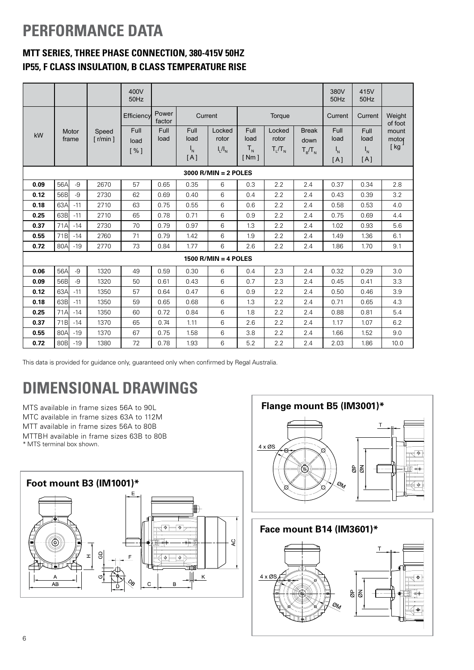## **PERFORMANCE DATA**

## **MTT SERIES, THREE PHASE CONNECTION, 380-415V 50HZ IP55, F CLASS INSULATION, B CLASS TEMPERATURE RISE**

|                                          |                 |                |                                  | 400V<br>50Hz |              |              |                        |              |                 |                      | 380V<br>50Hz              | 415V<br>50Hz      |                |
|------------------------------------------|-----------------|----------------|----------------------------------|--------------|--------------|--------------|------------------------|--------------|-----------------|----------------------|---------------------------|-------------------|----------------|
| Power<br>Efficiency<br>Current<br>factor |                 |                |                                  |              |              |              |                        | Torque       |                 | Current              | Current                   | Weight<br>of foot |                |
| kW                                       |                 | Motor<br>frame | Speed<br>$\lceil$ r/min $\rceil$ | Full<br>load | Full<br>load | Full<br>load | Locked<br>rotor        | Full<br>load | Locked<br>rotor | <b>Break</b><br>down | Full<br>load              | Full<br>load      | mount<br>motor |
|                                          |                 |                |                                  | [%]          |              | $I_{N}$      | $I_{L}/I_{N}$          | $T_{N}$      | $T_L/T_N$       | $T_B/T_N$            | $\mathsf{I}_{\mathsf{N}}$ | $I_{N}$           | [kg            |
|                                          |                 |                |                                  |              |              | [A]          |                        | [ Nm ]       |                 |                      | [A]                       | [A]               |                |
|                                          |                 |                |                                  |              |              |              | $3000$ R/MIN = 2 POLES |              |                 |                      |                           |                   |                |
| 0.09                                     | 56A             | $-9$           | 2670                             | 57           | 0.65         | 0.35         | 6                      | 0.3          | 2.2             | 2.4                  | 0.37                      | 0.34              | 2.8            |
| 0.12                                     | 56B             | $-9$           | 2730                             | 62           | 0.69         | 0.40         | 6                      | 0.4          | 2.2             | 2.4                  | 0.43                      | 0.39              | 3.2            |
| 0.18                                     | 63A             | $-11$          | 2710                             | 63           | 0.75         | 0.55         | 6                      | 0.6          | 2.2             | 2.4                  | 0.58                      | 0.53              | 4.0            |
| 0.25                                     | 63B             | $-11$          | 2710                             | 65           | 0.78         | 0.71         | 6                      | 0.9          | 2.2             | 2.4                  | 0.75                      | 0.69              | 4.4            |
| 0.37                                     | 71A             | $-14$          | 2730                             | 70           | 0.79         | 0.97         | 6                      | 1.3          | 2.2             | 2.4                  | 1.02                      | 0.93              | 5.6            |
| 0.55                                     | 71 <sub>B</sub> | $-14$          | 2760                             | 71           | 0.79         | 1.42         | 6                      | 1.9          | 2.2             | 2.4                  | 1.49                      | 1.36              | 6.1            |
| 0.72                                     | 80A             | $-19$          | 2770                             | 73           | 0.84         | 1.77         | 6                      | 2.6          | 2.2             | 2.4                  | 1.86                      | 1.70              | 9.1            |
|                                          |                 |                |                                  |              |              |              | 1500 $R/MIN = 4$ POLES |              |                 |                      |                           |                   |                |
| 0.06                                     | 56A             | $-9$           | 1320                             | 49           | 0.59         | 0.30         | 6                      | 0.4          | 2.3             | 2.4                  | 0.32                      | 0.29              | 3.0            |
| 0.09                                     | 56B             | $-9$           | 1320                             | 50           | 0.61         | 0.43         | 6                      | 0.7          | 2.3             | 2.4                  | 0.45                      | 0.41              | 3.3            |
| 0.12                                     | 63A             | $-11$          | 1350                             | 57           | 0.64         | 0.47         | 6                      | 0.9          | 2.2             | 2.4                  | 0.50                      | 0.46              | 3.9            |
| 0.18                                     | 63Bl            | $-11$          | 1350                             | 59           | 0.65         | 0.68         | 6                      | 1.3          | 2.2             | 2.4                  | 0.71                      | 0.65              | 4.3            |
| 0.25                                     | 71A             | $-14$          | 1350                             | 60           | 0.72         | 0.84         | 6                      | 1.8          | 2.2             | 2.4                  | 0.88                      | 0.81              | 5.4            |
| 0.37                                     | 71B             | $-14$          | 1370                             | 65           | 0.74         | 1.11         | 6                      | 2.6          | 2.2             | 2.4                  | 1.17                      | 1.07              | 6.2            |
| 0.55                                     | 80A             | $-19$          | 1370                             | 67           | 0.75         | 1.58         | 6                      | 3.8          | 2.2             | 2.4                  | 1.66                      | 1.52              | 9.0            |
| 0.72                                     | 80 <sub>B</sub> | $-19$          | 1380                             | 72           | 0.78         | 1.93         | 6                      | 5.2          | 2.2             | 2.4                  | 2.03                      | 1.86              | 10.0           |

This data is provided for guidance only, guaranteed only when confirmed by Regal Australia.

## **DIMENSIONAL DRAWINGS**

MTS available in frame sizes 56A to 90L MTC available in frame sizes 63A to 112M MTT available in frame sizes 56A to 80B MTTBH available in frame sizes 63B to 80B

\* MTS terminal box shown.





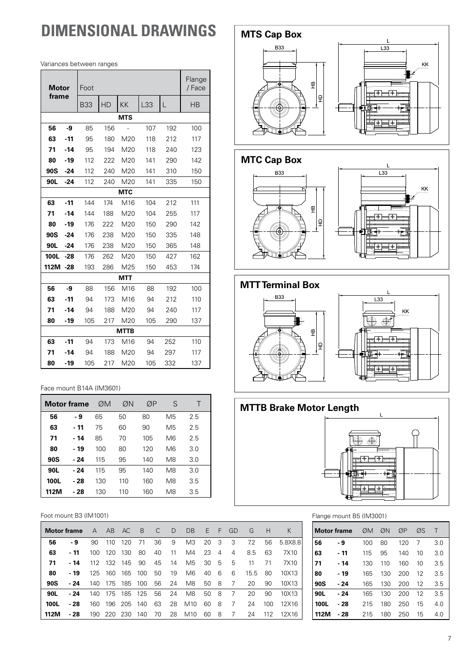## **DIMENSIONAL DRAWINGS**

Variances between ranges

| Motor       |            | Foot       |            |                          |     |     | Flange<br>/ Face |  |  |  |  |  |
|-------------|------------|------------|------------|--------------------------|-----|-----|------------------|--|--|--|--|--|
| frame       |            | <b>B33</b> | <b>HD</b>  | <b>KK</b>                | L33 | L   | <b>HB</b>        |  |  |  |  |  |
|             | <b>MTS</b> |            |            |                          |     |     |                  |  |  |  |  |  |
| 56          | -9         | 85         | 156        | $\overline{\phantom{a}}$ | 107 | 192 | 100              |  |  |  |  |  |
| 63          | $-11$      | 95         | 180        | M20                      | 118 | 212 | 117              |  |  |  |  |  |
| 71          | -14        | 95         | 194        | M20                      | 118 | 240 | 123              |  |  |  |  |  |
| 80          | $-19$      | 112        | 222        | M20                      | 141 | 290 | 142              |  |  |  |  |  |
| 90S         | $-24$      | 112        | 240        | M20                      | 141 | 310 | 150              |  |  |  |  |  |
| 90L         | $-24$      | 112        | 240        | M20                      | 141 | 335 | 150              |  |  |  |  |  |
|             |            |            | <b>MTC</b> |                          |     |     |                  |  |  |  |  |  |
| 63          | $-11$      | 144        | 174        | M16                      | 104 | 212 | 111              |  |  |  |  |  |
| 71          | $-14$      | 144        | 188        | M20                      | 104 | 255 | 117              |  |  |  |  |  |
| 80          | $-19$      | 176        | 222        | M20                      | 150 | 290 | 142              |  |  |  |  |  |
| 90S         | -24        | 176        | 238        | M20                      | 150 | 335 | 148              |  |  |  |  |  |
| 90L         | $-24$      | 176        | 238        | M20                      | 150 | 365 | 148              |  |  |  |  |  |
| <b>100L</b> | $-28$      | 176        | 262        | M20                      | 150 | 427 | 162              |  |  |  |  |  |
| 112M        | -28        | 193        | 286        | M25                      | 150 | 453 | 174              |  |  |  |  |  |
|             |            |            |            | <b>MTT</b>               |     |     |                  |  |  |  |  |  |
| 56          | -9         | 88         | 156        | M16                      | 88  | 192 | 100              |  |  |  |  |  |
| 63          | $-11$      | 94         | 173        | M16                      | 94  | 212 | 110              |  |  |  |  |  |
| 71          | $-14$      | 94         | 188        | M20                      | 94  | 240 | 117              |  |  |  |  |  |
| 80          | -19        | 105        | 217        | M20                      | 105 | 290 | 137              |  |  |  |  |  |
|             |            |            |            | <b>MTTB</b>              |     |     |                  |  |  |  |  |  |
| 63          | -11        | 94         | 173        | M16                      | 94  | 252 | 110              |  |  |  |  |  |
| 71          | -14        | 94         | 188        | M20                      | 94  | 297 | 117              |  |  |  |  |  |
| 80          | -19        | 105        | 217        | M20                      | 105 | 332 | 137              |  |  |  |  |  |

#### Face mount B14A (IM3601)

| <b>Motor frame</b> |      | ØM  | ØN  | ØΡ  | S  |     |
|--------------------|------|-----|-----|-----|----|-----|
| 56                 | - 9  | 65  | 50  | 80  | M5 | 2.5 |
| 63                 | - 11 | 75  | 60  | 90  | M5 | 2.5 |
| 71                 | - 14 | 85  | 70  | 105 | M6 | 2.5 |
| 80                 | - 19 | 100 | 80  | 120 | M6 | 3.0 |
| 90S                | - 24 | 115 | 95  | 140 | M8 | 3.0 |
| 90L                | - 24 | 115 | 95  | 140 | M8 | 3.0 |
| <b>100L</b>        | - 28 | 130 | 110 | 160 | M8 | 3.5 |
| 112M               | - 28 | 130 | 110 | 160 | M8 | 3.5 |

#### Foot mount B3 (IM1001)

|             | Motor frame | $\mathsf{A}$ | A <sub>B</sub> | AC.     | $\overline{B}$ | C. | D  | DB              | E  | F.             | GD | G    | H   | Κ       |
|-------------|-------------|--------------|----------------|---------|----------------|----|----|-----------------|----|----------------|----|------|-----|---------|
| 56          | - 9         | 90           | 110            | 120     | 71             | 36 | 9  | M <sub>3</sub>  | 20 | - 3            | 3  | 72   | 56  | 5.8X8.8 |
| 63          | - 11        | 100          | 120            | 130     | 80             | 40 | 11 | M4              | 23 | $\overline{4}$ | 4  | 8.5  | 63  | 7X10    |
| 71          | - 14        | 112          | 132            | 145     | 90             | 45 | 14 | M5              | 30 | - 5            | 5  | 11   | 71  | 7X10    |
| 80          | $-19$       | 125          | 160            | 165     | 100            | 50 | 19 | M <sub>6</sub>  | 40 | -6             | 6  | 15.5 | 80  | 10X13   |
| 90S         | - 24        | 140          | 175            | 185     | 100            | 56 | 24 | M8              | 50 | -8             | 7  | 20   | 90  | 10X13   |
| 90L         | - 24        | 140          | 175            | 185     | 125            | 56 | 24 | M8              | 50 | 8              | 7  | 20   | 90  | 10X13   |
| <b>100L</b> | - 28        | 160          | 196            | 205 140 |                | 63 | 28 | M10             | 60 | 8              | 7  | 24   | 100 | 12X16   |
| 112M        | - 28        | 190          | 220            | 230     | 140            | 70 | 28 | M <sub>10</sub> | 60 | 8              | 7  | 24   | 112 | 12X16   |



### **MTC Cap Box**









#### Flange mount B5 (IM3001)

| <b>Motor frame</b> |       | ØM  | ØN  | ØP  | ØS | Τ   |
|--------------------|-------|-----|-----|-----|----|-----|
| 56                 | - 9   | 100 | 80  | 120 | 7  | 3.0 |
| 63                 | $-11$ | 115 | 95  | 140 | 10 | 3.0 |
| 71                 | - 14  | 130 | 110 | 160 | 10 | 3.5 |
| 80                 | - 19  | 165 | 130 | 200 | 12 | 3.5 |
| 90S                | - 24  | 165 | 130 | 200 | 12 | 3.5 |
| 90L                | - 24  | 165 | 130 | 200 | 12 | 3.5 |
| <b>100L</b>        | - 28  | 215 | 180 | 250 | 15 | 4.0 |
| 112N               | - 28  | 215 | 180 | 250 | 15 | 4.0 |